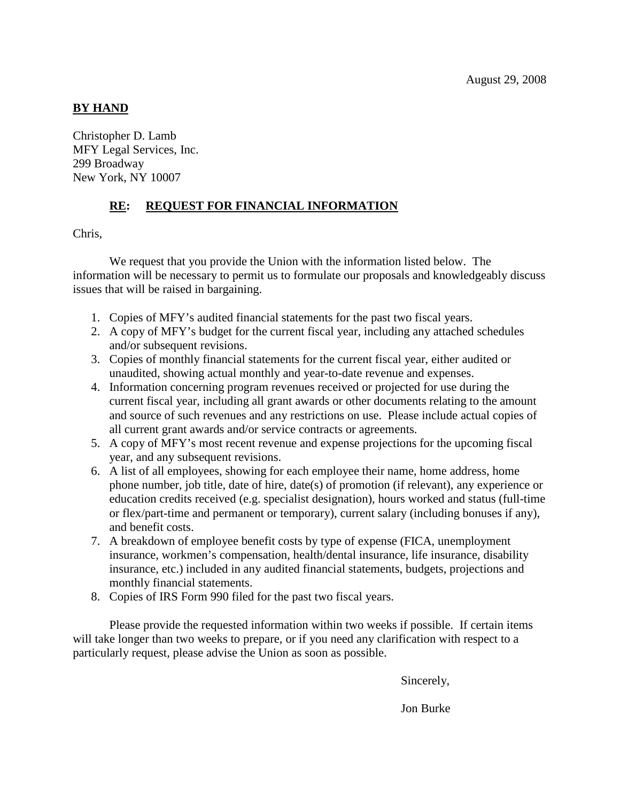## **BY HAND**

Christopher D. Lamb MFY Legal Services, Inc. 299 Broadway New York, NY 10007

## **RE: REQUEST FOR FINANCIAL INFORMATION**

Chris,

We request that you provide the Union with the information listed below. The information will be necessary to permit us to formulate our proposals and knowledgeably discuss issues that will be raised in bargaining.

- 1. Copies of MFY's audited financial statements for the past two fiscal years.
- 2. A copy of MFY's budget for the current fiscal year, including any attached schedules and/or subsequent revisions.
- 3. Copies of monthly financial statements for the current fiscal year, either audited or unaudited, showing actual monthly and year-to-date revenue and expenses.
- 4. Information concerning program revenues received or projected for use during the current fiscal year, including all grant awards or other documents relating to the amount and source of such revenues and any restrictions on use. Please include actual copies of all current grant awards and/or service contracts or agreements.
- 5. A copy of MFY's most recent revenue and expense projections for the upcoming fiscal year, and any subsequent revisions.
- 6. A list of all employees, showing for each employee their name, home address, home phone number, job title, date of hire, date(s) of promotion (if relevant), any experience or education credits received (e.g. specialist designation), hours worked and status (full-time or flex/part-time and permanent or temporary), current salary (including bonuses if any), and benefit costs.
- 7. A breakdown of employee benefit costs by type of expense (FICA, unemployment insurance, workmen's compensation, health/dental insurance, life insurance, disability insurance, etc.) included in any audited financial statements, budgets, projections and monthly financial statements.
- 8. Copies of IRS Form 990 filed for the past two fiscal years.

Please provide the requested information within two weeks if possible. If certain items will take longer than two weeks to prepare, or if you need any clarification with respect to a particularly request, please advise the Union as soon as possible.

Sincerely,

Jon Burke